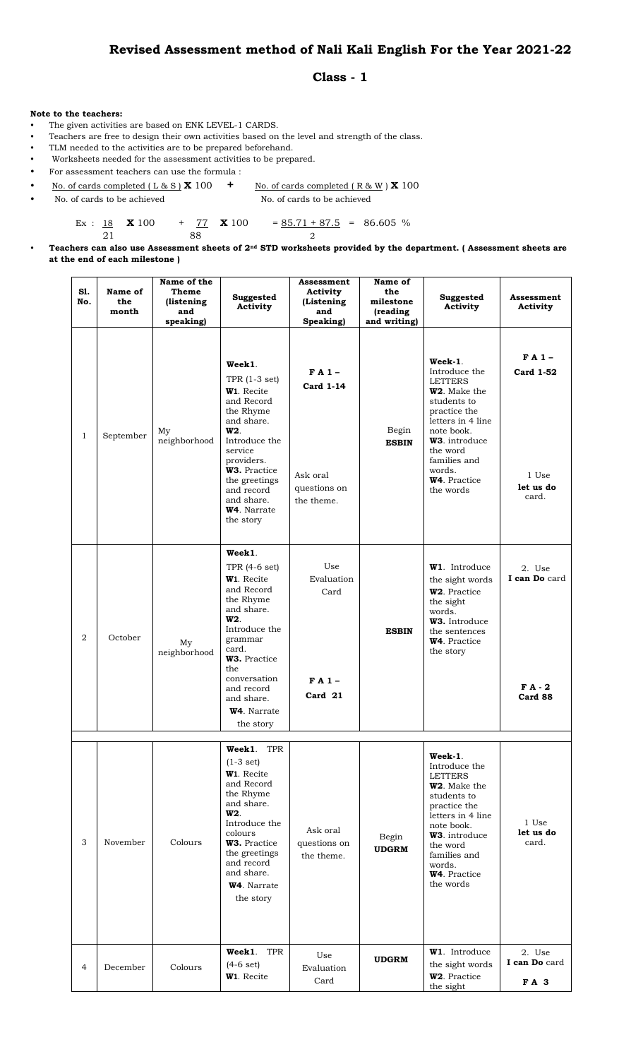## **Revised Assessment method of Nali Kali English For the Year 2021-22**

## **Class - 1**

## **Note to the teachers:**

- The given activities are based on ENK LEVEL-1 CARDS.
- Teachers are free to design their own activities based on the level and strength of the class.
- TLM needed to the activities are to be prepared beforehand.
- Worksheets needed for the assessment activities to be prepared.
- For assessment teachers can use the formula :
- No. of cards completed ( L & S ) **X** 100 **+** No. of cards completed ( R & W ) **X** 100
- No. of cards to be achieved No. of cards to be achieved

Ex :  $\frac{18}{10}$  **X** 100 +  $\frac{77}{10}$  **X** 100 =  $\frac{85.71 + 87.5}{100}$  = 86.605 %

21 88 2

• **Teachers can also use Assessment sheets of 2nd STD worksheets provided by the department. ( Assessment sheets are at the end of each milestone )**

| S1.<br>No.     | Name of<br>the<br>month | Name of the<br>Theme<br>(listening<br>and<br>speaking) | Suggested<br>Activity                                                                                                                                                                                                                                           | Assessment<br>Activity<br>(Listening<br>and<br>Speaking)              | Name of<br>the<br>milestone<br>(reading<br>and writing) | Suggested<br>Activity                                                                                                                                                                                                         | Assessment<br>Activity                              |
|----------------|-------------------------|--------------------------------------------------------|-----------------------------------------------------------------------------------------------------------------------------------------------------------------------------------------------------------------------------------------------------------------|-----------------------------------------------------------------------|---------------------------------------------------------|-------------------------------------------------------------------------------------------------------------------------------------------------------------------------------------------------------------------------------|-----------------------------------------------------|
| $\mathbf{1}$   | September               | My<br>neighborhood                                     | Week1.<br>TPR $(1-3 set)$<br>W <sub>1</sub> . Recite<br>and Record<br>the Rhyme<br>and share.<br>W <sub>2</sub><br>Introduce the<br>service<br>providers.<br>W3. Practice<br>the greetings<br>and record<br>and share.<br>W <sub>4</sub> . Narrate<br>the story | $FA1 -$<br><b>Card 1-14</b><br>Ask oral<br>questions on<br>the theme. | Begin<br><b>ESBIN</b>                                   | Week-1.<br>Introduce the<br><b>LETTERS</b><br>W2. Make the<br>students to<br>practice the<br>letters in 4 line<br>note book.<br>W3. introduce<br>the word<br>families and<br>words.<br>W <sub>4</sub> . Practice<br>the words | $FA1 -$<br>Card 1-52<br>1 Use<br>let us do<br>card. |
| $\overline{a}$ | October                 | My<br>neighborhood                                     | Week1.<br>TPR (4-6 set)<br>W <sub>1</sub> . Recite<br>and Record<br>the Rhyme<br>and share.<br>W <sub>2</sub><br>Introduce the<br>grammar<br>card.<br>W3. Practice<br>the<br>conversation<br>and record<br>and share.<br>W <sub>4</sub> . Narrate<br>the story  | Use<br>Evaluation<br>Card<br>$FA1-$<br>Card 21                        | <b>ESBIN</b>                                            | W1. Introduce<br>the sight words<br>W2. Practice<br>the sight<br>words.<br>W3. Introduce<br>the sentences<br>W <sub>4</sub> . Practice<br>the story                                                                           | 2. Use<br>I can Do card<br>$FA-2$<br>Card 88        |
| 3              | November                | Colours                                                | Week1.<br>TPR<br>$(1-3 set)$<br>W1. Recite<br>and Record<br>the Rhyme<br>and share.<br>W <sub>2</sub><br>Introduce the<br>colours<br>W3. Practice<br>the greetings<br>and record<br>and share.<br>W <sub>4</sub> . Narrate<br>the story                         | Ask oral<br>questions on<br>the theme.                                | Begin<br><b>UDGRM</b>                                   | Week-1.<br>Introduce the<br><b>LETTERS</b><br>W2. Make the<br>students to<br>practice the<br>letters in 4 line<br>note book.<br>W3. introduce<br>the word<br>families and<br>words.<br>W4. Practice<br>the words              | 1 Use<br>let us do<br>card.                         |
| 4              | December                | Colours                                                | TPR<br>Week1.<br>$(4-6$ set)<br>W <sub>1</sub> . Recite                                                                                                                                                                                                         | Use<br>Evaluation<br>Card                                             | <b>UDGRM</b>                                            | <b>W1.</b> Introduce<br>the sight words<br>W2. Practice<br>the sight                                                                                                                                                          | 2. Use<br>I can Do card<br>FA 3                     |